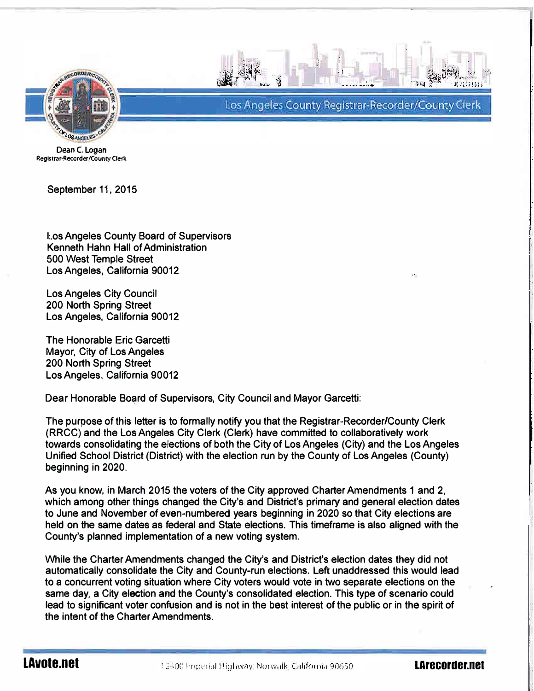



- -\_ -\_ · - -- \_ . - -\_- -\_ · · ' . <sup>I</sup> Los Angeles County Registrar-Recorder/County Clerk

Dean C. Logan Registrar-Recorder/County Clerk

September 11, 2015

l:.os Angeles County Board of Supervisors Kenneth Hahn Hall of Administration 500 West Temple Street Los Angeles, California 90012

Los Angeles City Council 200 North Spring Street Los Angeles, California 90012

The Honorable Eric Garcetti Mayor, City of Los Angeles 200 North Spring Street Los Angeles. California 90012

Dear Honorable Board of Supervisors, City Council and Mayor Garcetti:

The purpose of this letter is to formally notify you that the Registrar-Recorder/County Clerk (RRCC) and the Los Angeles City Clerk (Clerk) have committed to collaboratively work towards consolidating the elections of both the City of Los Angeles (City) and the Los Angeles Unified School District (District) with the election run by the County of Los Angeles (County) beginning in 2020.

As you know, in March 2015 the voters of the City approved Charter Amendments 1 and 2, which among other things changed the City's and District's primary and general election dates to June and November of even-numbered years beginning in 2020 so that City elections are held on the same dates as federal and State elections. This timeframe is also aligned with the County's planned implementation of a new voting system.

While the Charter Amendments changed the City's and District's election dates they did not automatically consolidate the City and County-run elections. Left unaddressed this would lead to a concurrent voting situation where City voters would vote in two separate elections on the same day, a City election and the County's consolidated election. This type of scenario could lead to significant voter confusion and is not in the best interest of the public or in the spirit of the intent of the Charter Amendments.